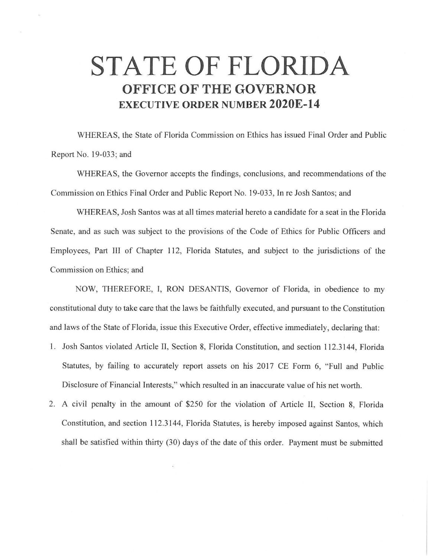## **STATE OF FLORIDA OFFICE OF THE GOVERNOR EXECUTIVE ORDER NUMBER 2020E-14**

WHEREAS, the State of Florida Commission on Ethics has issued Final Order and Public Report No. 19-033; and

WHEREAS, the Governor accepts the findings, conclusions, and recommendations of the Commission on Ethics Final Order and Public Report No. 19-033, In re Josh Santos; and

WHEREAS, Josh Santos was at all times material hereto a candidate for a seat in the Florida Senate, and as such was subject to the provisions of the Code of Ethics for Public Officers and Employees, Part III of Chapter 112, Florida Statutes, and subject to the jurisdictions of the Commission on Ethics; and

NOW, THEREFORE, I, RON DESANTIS, Governor of Florida, in obedience to my constitutional duty to take care that the laws be faithfully executed, and pursuant to the Constitution and laws of the State of Florida, issue this Executive Order, effective immediately, declaring that:

- l. Josh Santos violated Article II, Section 8, Florida Constitution, and section 112.3144, Florida Statutes, by failing to accurately report assets on his 2017 CE Form 6, "Full and Public Disclosure of Financial Interests;" which resulted in an inaccurate value of his net worth.
- 2. A civil penalty in the amount of \$250 for the violation of Article II, Section 8, Florida Constitution, and section 112.3144, Florida Statutes, is hereby imposed against Santos, which shall be satisfied within thirty (30) days of the date of this order. Payment must be submitted